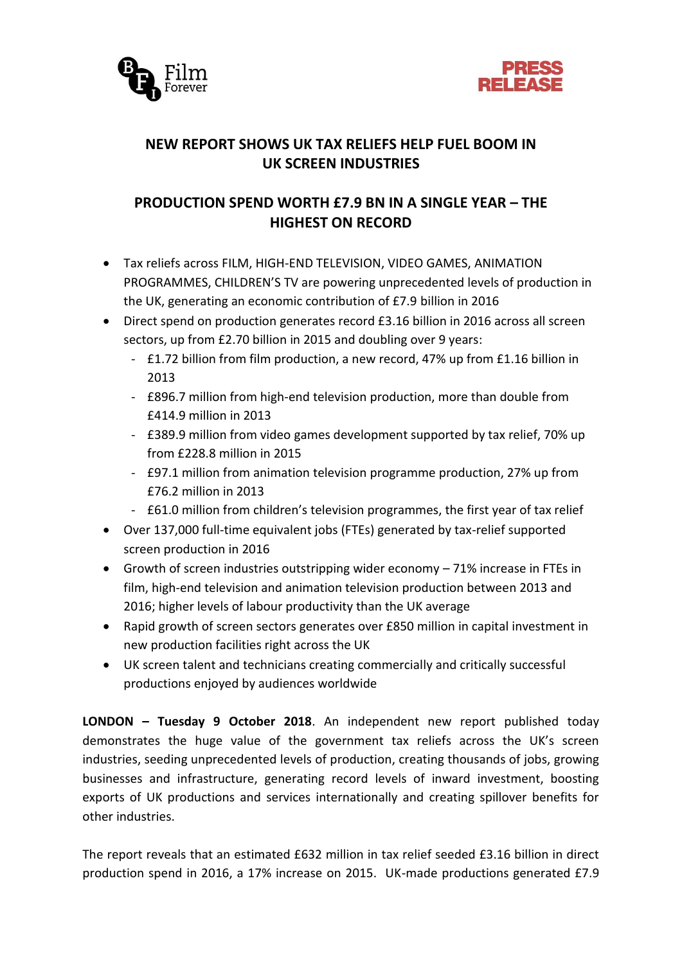



# **NEW REPORT SHOWS UK TAX RELIEFS HELP FUEL BOOM IN UK SCREEN INDUSTRIES**

# **PRODUCTION SPEND WORTH £7.9 BN IN A SINGLE YEAR – THE HIGHEST ON RECORD**

- Tax reliefs across FILM, HIGH-END TELEVISION, VIDEO GAMES, ANIMATION PROGRAMMES, CHILDREN'S TV are powering unprecedented levels of production in the UK, generating an economic contribution of £7.9 billion in 2016
- Direct spend on production generates record £3.16 billion in 2016 across all screen sectors, up from £2.70 billion in 2015 and doubling over 9 years:
	- £1.72 billion from film production, a new record, 47% up from £1.16 billion in 2013
	- £896.7 million from high-end television production, more than double from £414.9 million in 2013
	- £389.9 million from video games development supported by tax relief, 70% up from £228.8 million in 2015
	- £97.1 million from animation television programme production, 27% up from £76.2 million in 2013
	- £61.0 million from children's television programmes, the first year of tax relief
- Over 137,000 full-time equivalent jobs (FTEs) generated by tax-relief supported screen production in 2016
- Growth of screen industries outstripping wider economy 71% increase in FTEs in film, high-end television and animation television production between 2013 and 2016; higher levels of labour productivity than the UK average
- Rapid growth of screen sectors generates over £850 million in capital investment in new production facilities right across the UK
- UK screen talent and technicians creating commercially and critically successful productions enjoyed by audiences worldwide

**LONDON – Tuesday 9 October 2018**. An independent new report published today demonstrates the huge value of the government tax reliefs across the UK's screen industries, seeding unprecedented levels of production, creating thousands of jobs, growing businesses and infrastructure, generating record levels of inward investment, boosting exports of UK productions and services internationally and creating spillover benefits for other industries.

The report reveals that an estimated £632 million in tax relief seeded £3.16 billion in direct production spend in 2016, a 17% increase on 2015. UK-made productions generated £7.9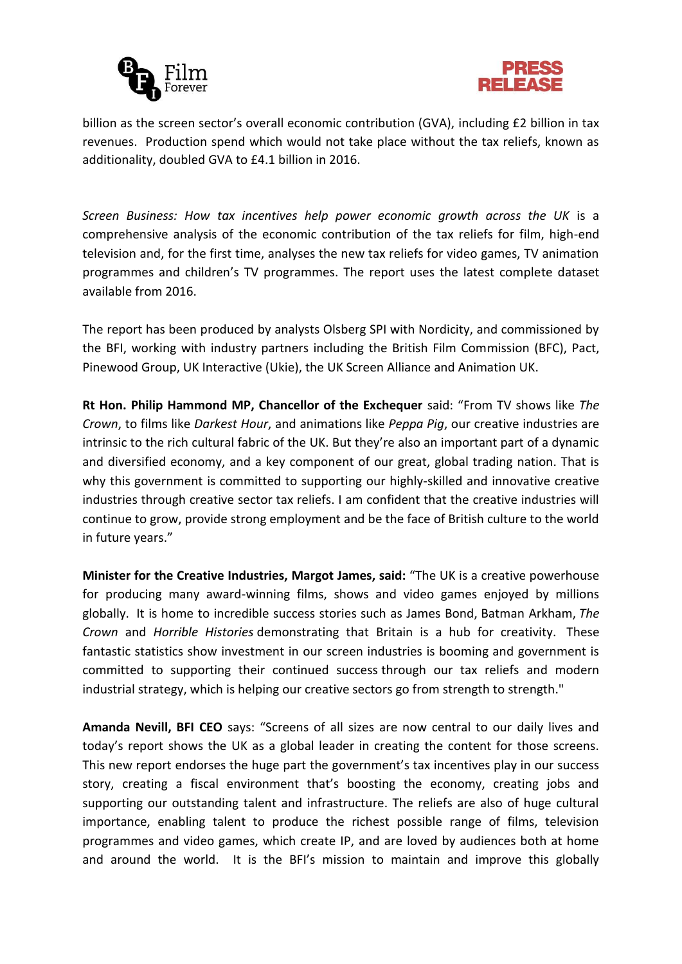



billion as the screen sector's overall economic contribution (GVA), including £2 billion in tax revenues. Production spend which would not take place without the tax reliefs, known as additionality, doubled GVA to £4.1 billion in 2016.

*Screen Business: How tax incentives help power economic growth across the UK* is a comprehensive analysis of the economic contribution of the tax reliefs for film, high-end television and, for the first time, analyses the new tax reliefs for video games, TV animation programmes and children's TV programmes. The report uses the latest complete dataset available from 2016.

The report has been produced by analysts Olsberg SPI with Nordicity, and commissioned by the BFI, working with industry partners including the British Film Commission (BFC), Pact, Pinewood Group, UK Interactive (Ukie), the UK Screen Alliance and Animation UK.

**Rt Hon. Philip Hammond MP, Chancellor of the Exchequer** said: "From TV shows like *The Crown*, to films like *Darkest Hour*, and animations like *Peppa Pig*, our creative industries are intrinsic to the rich cultural fabric of the UK. But they're also an important part of a dynamic and diversified economy, and a key component of our great, global trading nation. That is why this government is committed to supporting our highly-skilled and innovative creative industries through creative sector tax reliefs. I am confident that the creative industries will continue to grow, provide strong employment and be the face of British culture to the world in future years."

**Minister for the Creative Industries, Margot James, said:** "The UK is a creative powerhouse for producing many award-winning films, shows and video games enjoyed by millions globally. It is home to incredible success stories such as James Bond, Batman Arkham, *The Crown* and *Horrible Histories* demonstrating that Britain is a hub for creativity. These fantastic statistics show investment in our screen industries is booming and government is committed to supporting their continued success through our tax reliefs and modern industrial strategy, which is helping our creative sectors go from strength to strength."

**Amanda Nevill, BFI CEO** says: "Screens of all sizes are now central to our daily lives and today's report shows the UK as a global leader in creating the content for those screens. This new report endorses the huge part the government's tax incentives play in our success story, creating a fiscal environment that's boosting the economy, creating jobs and supporting our outstanding talent and infrastructure. The reliefs are also of huge cultural importance, enabling talent to produce the richest possible range of films, television programmes and video games, which create IP, and are loved by audiences both at home and around the world. It is the BFI's mission to maintain and improve this globally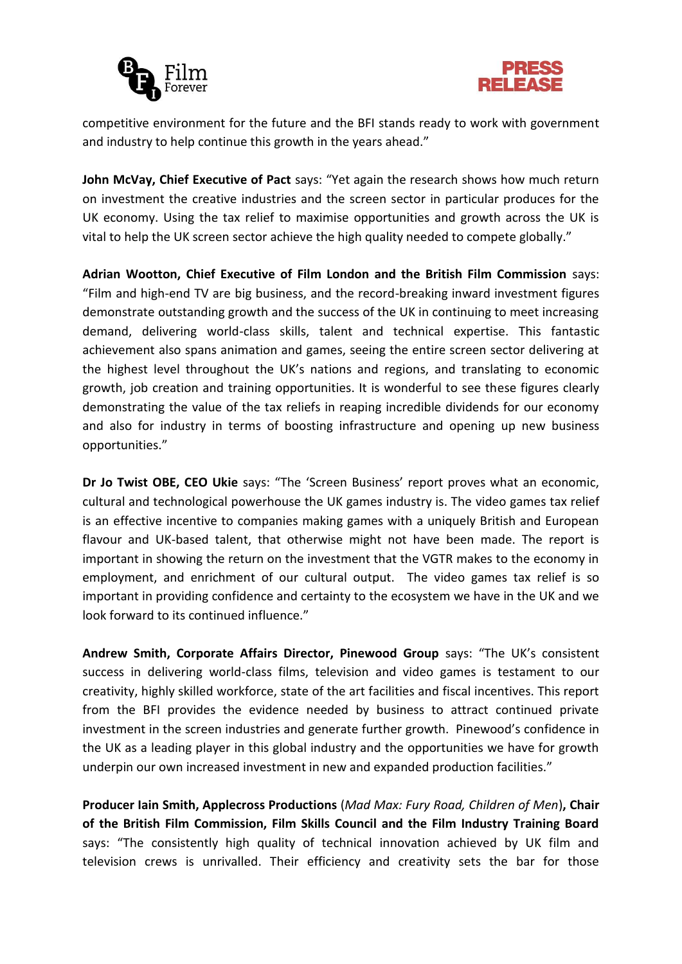



competitive environment for the future and the BFI stands ready to work with government and industry to help continue this growth in the years ahead."

**John McVay, Chief Executive of Pact** says: "Yet again the research shows how much return on investment the creative industries and the screen sector in particular produces for the UK economy. Using the tax relief to maximise opportunities and growth across the UK is vital to help the UK screen sector achieve the high quality needed to compete globally."

**Adrian Wootton, Chief Executive of Film London and the British Film Commission** says: "Film and high-end TV are big business, and the record-breaking inward investment figures demonstrate outstanding growth and the success of the UK in continuing to meet increasing demand, delivering world-class skills, talent and technical expertise. This fantastic achievement also spans animation and games, seeing the entire screen sector delivering at the highest level throughout the UK's nations and regions, and translating to economic growth, job creation and training opportunities. It is wonderful to see these figures clearly demonstrating the value of the tax reliefs in reaping incredible dividends for our economy and also for industry in terms of boosting infrastructure and opening up new business opportunities."

**Dr Jo Twist OBE, CEO Ukie** says: "The 'Screen Business' report proves what an economic, cultural and technological powerhouse the UK games industry is. The video games tax relief is an effective incentive to companies making games with a uniquely British and European flavour and UK-based talent, that otherwise might not have been made. The report is important in showing the return on the investment that the VGTR makes to the economy in employment, and enrichment of our cultural output. The video games tax relief is so important in providing confidence and certainty to the ecosystem we have in the UK and we look forward to its continued influence."

**Andrew Smith, Corporate Affairs Director, Pinewood Group** says: "The UK's consistent success in delivering world-class films, television and video games is testament to our creativity, highly skilled workforce, state of the art facilities and fiscal incentives. This report from the BFI provides the evidence needed by business to attract continued private investment in the screen industries and generate further growth. Pinewood's confidence in the UK as a leading player in this global industry and the opportunities we have for growth underpin our own increased investment in new and expanded production facilities."

**Producer Iain Smith, Applecross Productions** (*Mad Max: Fury Road, Children of Men*)**, Chair of the British Film Commission, Film Skills Council and the Film Industry Training Board** says: "The consistently high quality of technical innovation achieved by UK film and television crews is unrivalled. Their efficiency and creativity sets the bar for those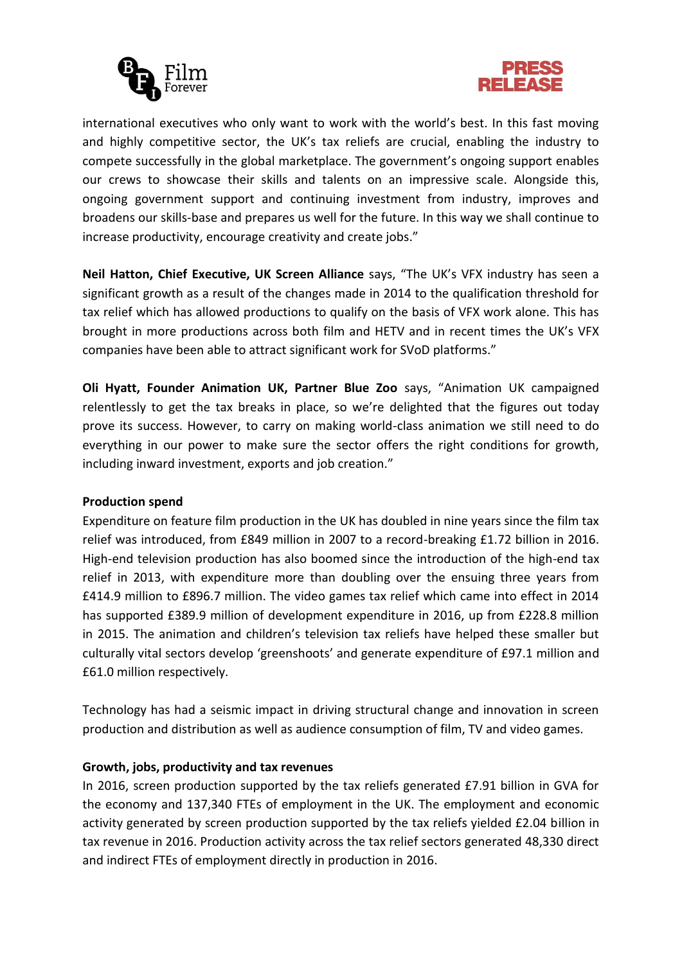



international executives who only want to work with the world's best. In this fast moving and highly competitive sector, the UK's tax reliefs are crucial, enabling the industry to compete successfully in the global marketplace. The government's ongoing support enables our crews to showcase their skills and talents on an impressive scale. Alongside this, ongoing government support and continuing investment from industry, improves and broadens our skills-base and prepares us well for the future. In this way we shall continue to increase productivity, encourage creativity and create jobs."

**Neil Hatton, Chief Executive, UK Screen Alliance** says, "The UK's VFX industry has seen a significant growth as a result of the changes made in 2014 to the qualification threshold for tax relief which has allowed productions to qualify on the basis of VFX work alone. This has brought in more productions across both film and HETV and in recent times the UK's VFX companies have been able to attract significant work for SVoD platforms."

**Oli Hyatt, Founder Animation UK, Partner Blue Zoo** says, "Animation UK campaigned relentlessly to get the tax breaks in place, so we're delighted that the figures out today prove its success. However, to carry on making world-class animation we still need to do everything in our power to make sure the sector offers the right conditions for growth, including inward investment, exports and job creation."

### **Production spend**

Expenditure on feature film production in the UK has doubled in nine years since the film tax relief was introduced, from £849 million in 2007 to a record-breaking £1.72 billion in 2016. High-end television production has also boomed since the introduction of the high-end tax relief in 2013, with expenditure more than doubling over the ensuing three years from £414.9 million to £896.7 million. The video games tax relief which came into effect in 2014 has supported £389.9 million of development expenditure in 2016, up from £228.8 million in 2015. The animation and children's television tax reliefs have helped these smaller but culturally vital sectors develop 'greenshoots' and generate expenditure of £97.1 million and £61.0 million respectively.

Technology has had a seismic impact in driving structural change and innovation in screen production and distribution as well as audience consumption of film, TV and video games.

### **Growth, jobs, productivity and tax revenues**

In 2016, screen production supported by the tax reliefs generated £7.91 billion in GVA for the economy and 137,340 FTEs of employment in the UK. The employment and economic activity generated by screen production supported by the tax reliefs yielded £2.04 billion in tax revenue in 2016. Production activity across the tax relief sectors generated 48,330 direct and indirect FTEs of employment directly in production in 2016.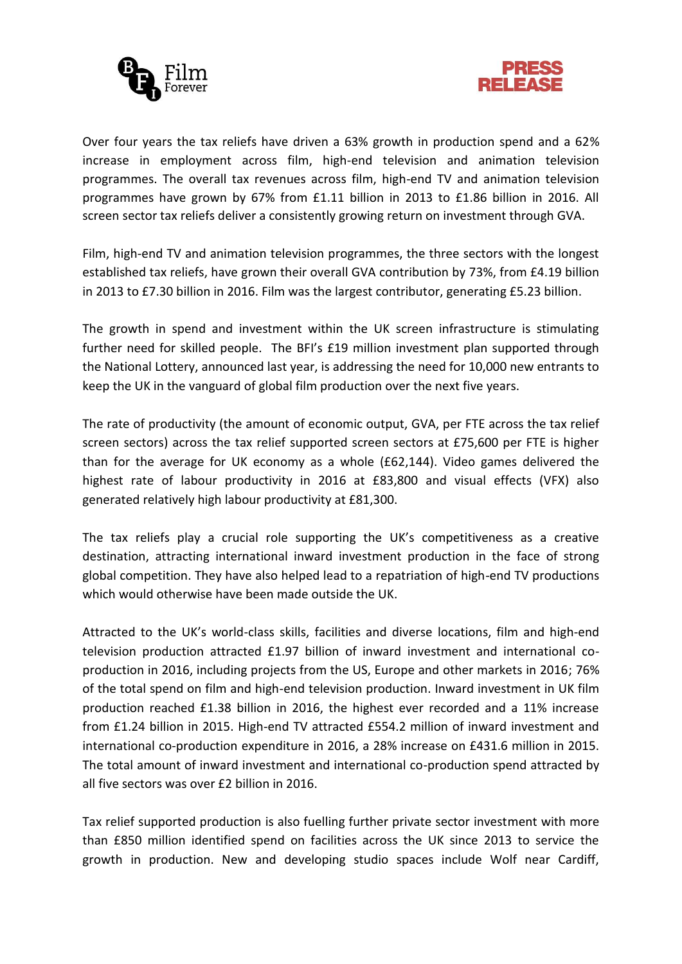



Over four years the tax reliefs have driven a 63% growth in production spend and a 62% increase in employment across film, high-end television and animation television programmes. The overall tax revenues across film, high-end TV and animation television programmes have grown by 67% from £1.11 billion in 2013 to £1.86 billion in 2016. All screen sector tax reliefs deliver a consistently growing return on investment through GVA.

Film, high-end TV and animation television programmes, the three sectors with the longest established tax reliefs, have grown their overall GVA contribution by 73%, from £4.19 billion in 2013 to £7.30 billion in 2016. Film was the largest contributor, generating £5.23 billion.

The growth in spend and investment within the UK screen infrastructure is stimulating further need for skilled people. The BFI's £19 million investment plan supported through the National Lottery, announced last year, is addressing the need for 10,000 new entrants to keep the UK in the vanguard of global film production over the next five years.

The rate of productivity (the amount of economic output, GVA, per FTE across the tax relief screen sectors) across the tax relief supported screen sectors at £75,600 per FTE is higher than for the average for UK economy as a whole (£62,144). Video games delivered the highest rate of labour productivity in 2016 at £83,800 and visual effects (VFX) also generated relatively high labour productivity at £81,300.

The tax reliefs play a crucial role supporting the UK's competitiveness as a creative destination, attracting international inward investment production in the face of strong global competition. They have also helped lead to a repatriation of high-end TV productions which would otherwise have been made outside the UK.

Attracted to the UK's world-class skills, facilities and diverse locations, film and high-end television production attracted £1.97 billion of inward investment and international coproduction in 2016, including projects from the US, Europe and other markets in 2016; 76% of the total spend on film and high-end television production. Inward investment in UK film production reached £1.38 billion in 2016, the highest ever recorded and a 11% increase from £1.24 billion in 2015. High-end TV attracted £554.2 million of inward investment and international co-production expenditure in 2016, a 28% increase on £431.6 million in 2015. The total amount of inward investment and international co-production spend attracted by all five sectors was over £2 billion in 2016.

Tax relief supported production is also fuelling further private sector investment with more than £850 million identified spend on facilities across the UK since 2013 to service the growth in production. New and developing studio spaces include Wolf near Cardiff,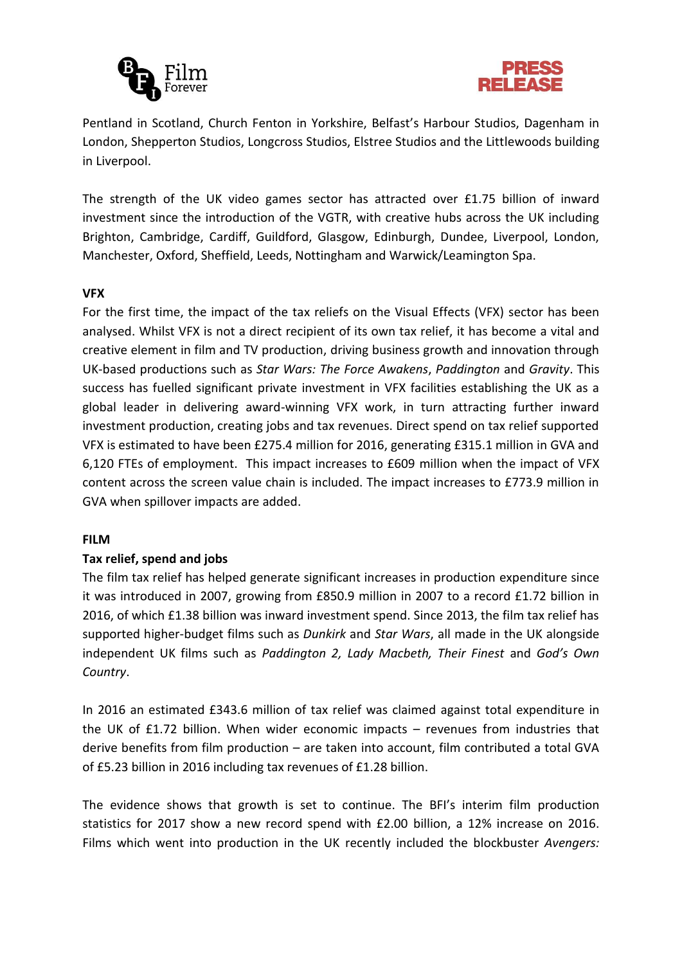



Pentland in Scotland, Church Fenton in Yorkshire, Belfast's Harbour Studios, Dagenham in London, Shepperton Studios, Longcross Studios, Elstree Studios and the Littlewoods building in Liverpool.

The strength of the UK video games sector has attracted over £1.75 billion of inward investment since the introduction of the VGTR, with creative hubs across the UK including Brighton, Cambridge, Cardiff, Guildford, Glasgow, Edinburgh, Dundee, Liverpool, London, Manchester, Oxford, Sheffield, Leeds, Nottingham and Warwick/Leamington Spa.

### **VFX**

For the first time, the impact of the tax reliefs on the Visual Effects (VFX) sector has been analysed. Whilst VFX is not a direct recipient of its own tax relief, it has become a vital and creative element in film and TV production, driving business growth and innovation through UK-based productions such as *Star Wars: The Force Awakens*, *Paddington* and *Gravity*. This success has fuelled significant private investment in VFX facilities establishing the UK as a global leader in delivering award-winning VFX work, in turn attracting further inward investment production, creating jobs and tax revenues. Direct spend on tax relief supported VFX is estimated to have been £275.4 million for 2016, generating £315.1 million in GVA and 6,120 FTEs of employment. This impact increases to £609 million when the impact of VFX content across the screen value chain is included. The impact increases to £773.9 million in GVA when spillover impacts are added.

### **FILM**

### **Tax relief, spend and jobs**

The film tax relief has helped generate significant increases in production expenditure since it was introduced in 2007, growing from £850.9 million in 2007 to a record £1.72 billion in 2016, of which £1.38 billion was inward investment spend. Since 2013, the film tax relief has supported higher-budget films such as *Dunkirk* and *Star Wars*, all made in the UK alongside independent UK films such as *Paddington 2, Lady Macbeth, Their Finest* and *God's Own Country*.

In 2016 an estimated £343.6 million of tax relief was claimed against total expenditure in the UK of £1.72 billion. When wider economic impacts – revenues from industries that derive benefits from film production – are taken into account, film contributed a total GVA of £5.23 billion in 2016 including tax revenues of £1.28 billion.

The evidence shows that growth is set to continue. The BFI's interim film production statistics for 2017 show a new record spend with £2.00 billion, a 12% increase on 2016. Films which went into production in the UK recently included the blockbuster *Avengers:*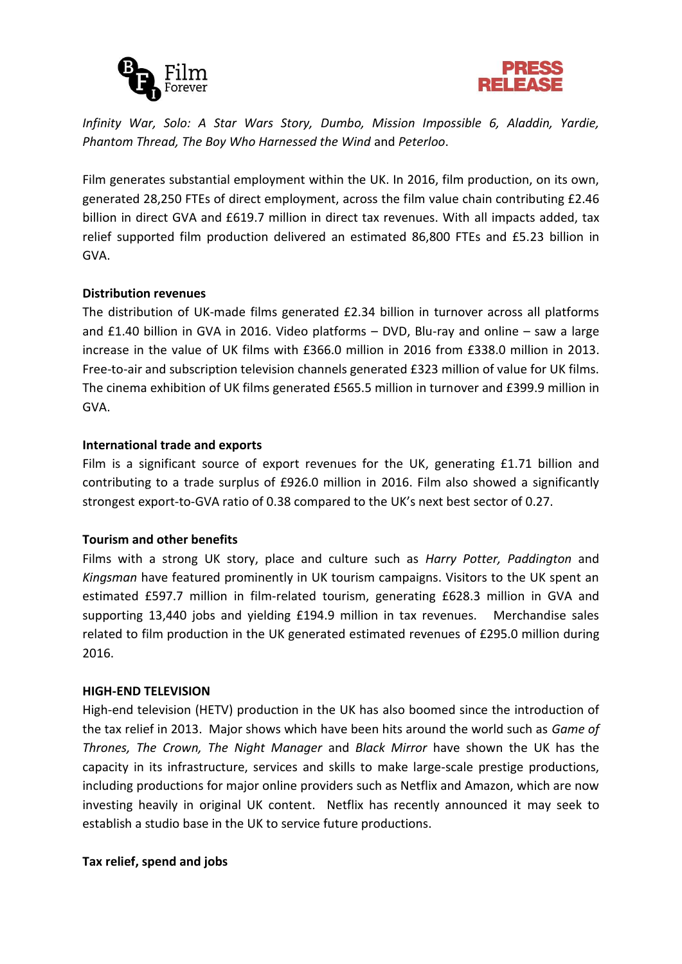



*Infinity War, Solo: A Star Wars Story, Dumbo, Mission Impossible 6, Aladdin, Yardie, Phantom Thread, The Boy Who Harnessed the Wind* and *Peterloo*.

Film generates substantial employment within the UK. In 2016, film production, on its own, generated 28,250 FTEs of direct employment, across the film value chain contributing £2.46 billion in direct GVA and £619.7 million in direct tax revenues. With all impacts added, tax relief supported film production delivered an estimated 86,800 FTEs and £5.23 billion in GVA.

# **Distribution revenues**

The distribution of UK-made films generated £2.34 billion in turnover across all platforms and £1.40 billion in GVA in 2016. Video platforms – DVD, Blu-ray and online – saw a large increase in the value of UK films with £366.0 million in 2016 from £338.0 million in 2013. Free-to-air and subscription television channels generated £323 million of value for UK films. The cinema exhibition of UK films generated £565.5 million in turnover and £399.9 million in GVA.

# **International trade and exports**

Film is a significant source of export revenues for the UK, generating £1.71 billion and contributing to a trade surplus of £926.0 million in 2016. Film also showed a significantly strongest export-to-GVA ratio of 0.38 compared to the UK's next best sector of 0.27.

# **Tourism and other benefits**

Films with a strong UK story, place and culture such as *Harry Potter, Paddington* and *Kingsman* have featured prominently in UK tourism campaigns. Visitors to the UK spent an estimated £597.7 million in film-related tourism, generating £628.3 million in GVA and supporting 13,440 jobs and yielding £194.9 million in tax revenues. Merchandise sales related to film production in the UK generated estimated revenues of £295.0 million during 2016.

### **HIGH-END TELEVISION**

High-end television (HETV) production in the UK has also boomed since the introduction of the tax relief in 2013. Major shows which have been hits around the world such as *Game of Thrones, The Crown, The Night Manager* and *Black Mirror* have shown the UK has the capacity in its infrastructure, services and skills to make large-scale prestige productions, including productions for major online providers such as Netflix and Amazon, which are now investing heavily in original UK content. Netflix has recently announced it may seek to establish a studio base in the UK to service future productions.

### **Tax relief, spend and jobs**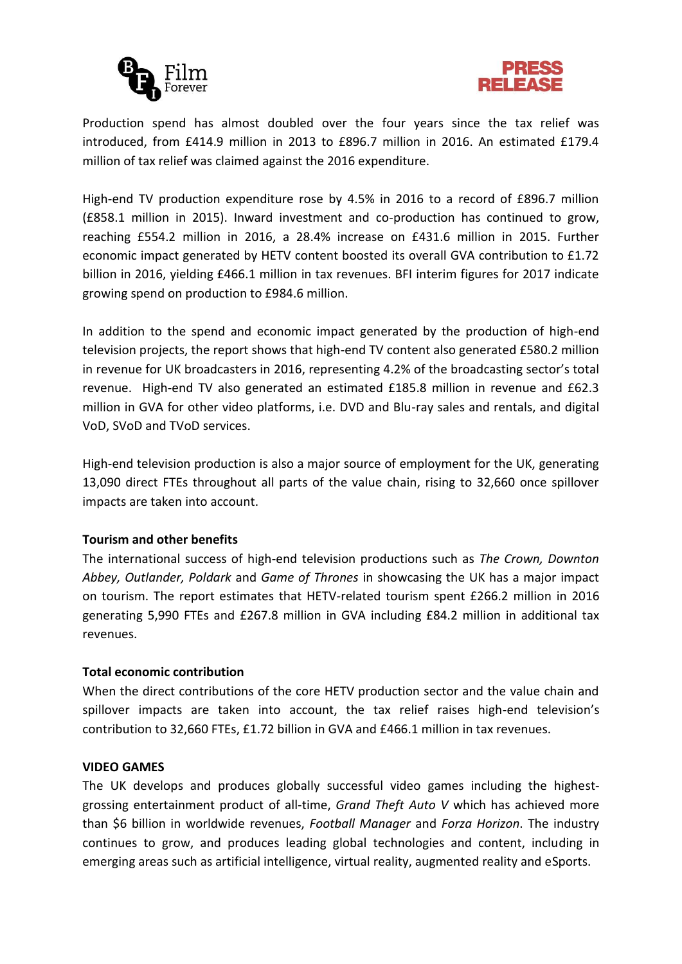



Production spend has almost doubled over the four years since the tax relief was introduced, from £414.9 million in 2013 to £896.7 million in 2016. An estimated £179.4 million of tax relief was claimed against the 2016 expenditure.

High-end TV production expenditure rose by 4.5% in 2016 to a record of £896.7 million (£858.1 million in 2015). Inward investment and co-production has continued to grow, reaching £554.2 million in 2016, a 28.4% increase on £431.6 million in 2015. Further economic impact generated by HETV content boosted its overall GVA contribution to £1.72 billion in 2016, yielding £466.1 million in tax revenues. BFI interim figures for 2017 indicate growing spend on production to £984.6 million.

In addition to the spend and economic impact generated by the production of high-end television projects, the report shows that high-end TV content also generated £580.2 million in revenue for UK broadcasters in 2016, representing 4.2% of the broadcasting sector's total revenue. High-end TV also generated an estimated £185.8 million in revenue and £62.3 million in GVA for other video platforms, i.e. DVD and Blu-ray sales and rentals, and digital VoD, SVoD and TVoD services.

High-end television production is also a major source of employment for the UK, generating 13,090 direct FTEs throughout all parts of the value chain, rising to 32,660 once spillover impacts are taken into account.

### **Tourism and other benefits**

The international success of high-end television productions such as *The Crown, Downton Abbey, Outlander, Poldark* and *Game of Thrones* in showcasing the UK has a major impact on tourism. The report estimates that HETV-related tourism spent £266.2 million in 2016 generating 5,990 FTEs and £267.8 million in GVA including £84.2 million in additional tax revenues.

### **Total economic contribution**

When the direct contributions of the core HETV production sector and the value chain and spillover impacts are taken into account, the tax relief raises high-end television's contribution to 32,660 FTEs, £1.72 billion in GVA and £466.1 million in tax revenues.

#### **VIDEO GAMES**

The UK develops and produces globally successful video games including the highestgrossing entertainment product of all-time, *Grand Theft Auto V* which has achieved more than \$6 billion in worldwide revenues, *Football Manager* and *Forza Horizon*. The industry continues to grow, and produces leading global technologies and content, including in emerging areas such as artificial intelligence, virtual reality, augmented reality and eSports.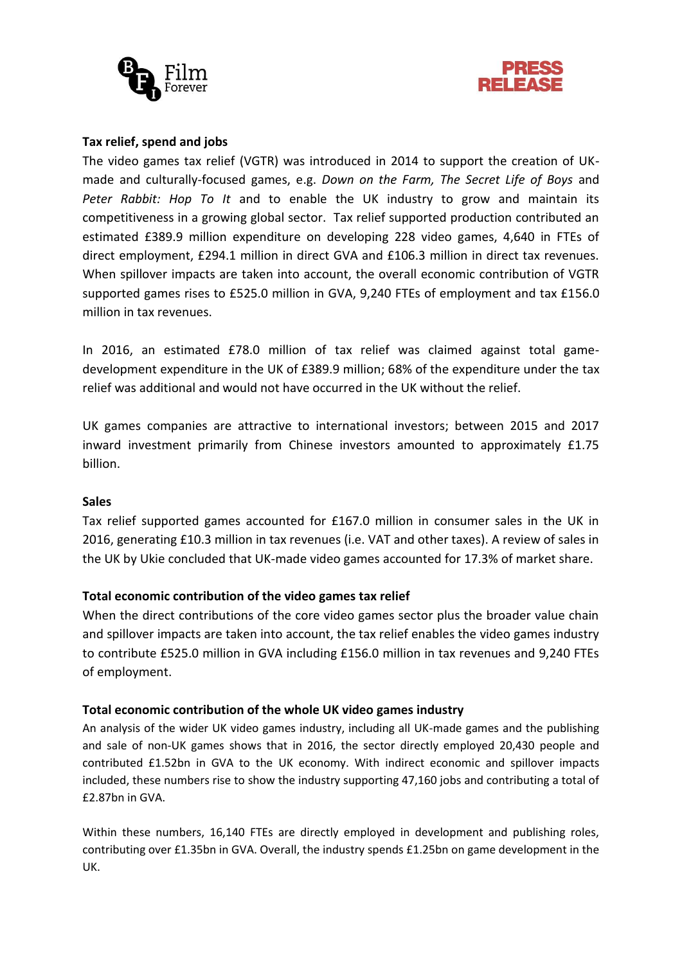



### **Tax relief, spend and jobs**

The video games tax relief (VGTR) was introduced in 2014 to support the creation of UKmade and culturally-focused games, e.g. *Down on the Farm, The Secret Life of Boys* and *Peter Rabbit: Hop To It* and to enable the UK industry to grow and maintain its competitiveness in a growing global sector. Tax relief supported production contributed an estimated £389.9 million expenditure on developing 228 video games, 4,640 in FTEs of direct employment, £294.1 million in direct GVA and £106.3 million in direct tax revenues. When spillover impacts are taken into account, the overall economic contribution of VGTR supported games rises to £525.0 million in GVA, 9,240 FTEs of employment and tax £156.0 million in tax revenues.

In 2016, an estimated £78.0 million of tax relief was claimed against total gamedevelopment expenditure in the UK of £389.9 million; 68% of the expenditure under the tax relief was additional and would not have occurred in the UK without the relief.

UK games companies are attractive to international investors; between 2015 and 2017 inward investment primarily from Chinese investors amounted to approximately £1.75 billion.

#### **Sales**

Tax relief supported games accounted for £167.0 million in consumer sales in the UK in 2016, generating £10.3 million in tax revenues (i.e. VAT and other taxes). A review of sales in the UK by Ukie concluded that UK-made video games accounted for 17.3% of market share.

### **Total economic contribution of the video games tax relief**

When the direct contributions of the core video games sector plus the broader value chain and spillover impacts are taken into account, the tax relief enables the video games industry to contribute £525.0 million in GVA including £156.0 million in tax revenues and 9,240 FTEs of employment.

### **Total economic contribution of the whole UK video games industry**

An analysis of the wider UK video games industry, including all UK-made games and the publishing and sale of non-UK games shows that in 2016, the sector directly employed 20,430 people and contributed £1.52bn in GVA to the UK economy. With indirect economic and spillover impacts included, these numbers rise to show the industry supporting 47,160 jobs and contributing a total of £2.87bn in GVA.

Within these numbers, 16,140 FTEs are directly employed in development and publishing roles, contributing over £1.35bn in GVA. Overall, the industry spends £1.25bn on game development in the UK.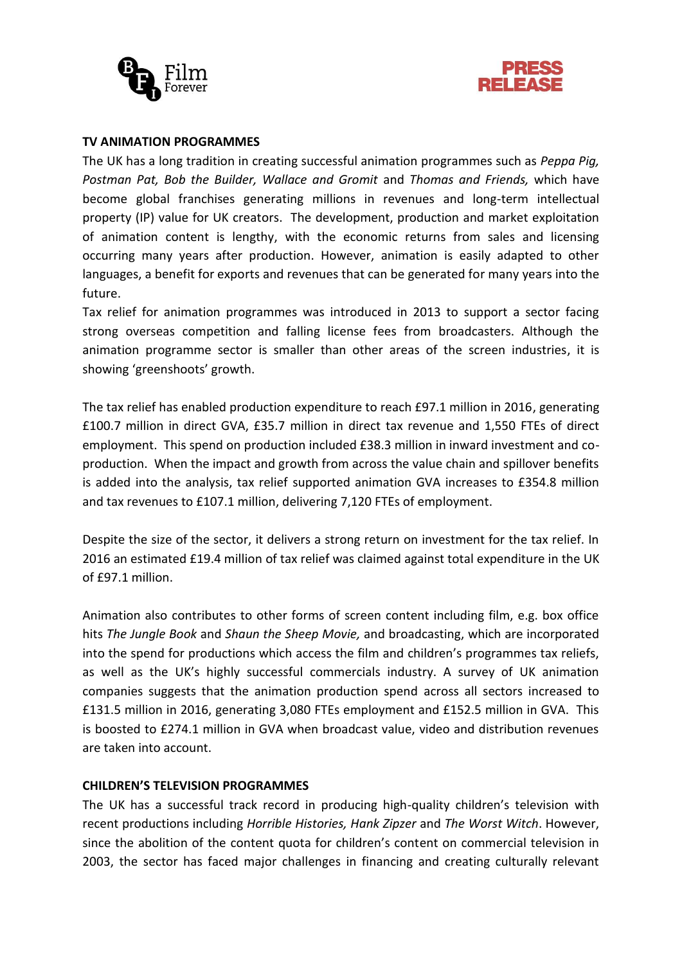



#### **TV ANIMATION PROGRAMMES**

The UK has a long tradition in creating successful animation programmes such as *Peppa Pig, Postman Pat, Bob the Builder, Wallace and Gromit* and *Thomas and Friends,* which have become global franchises generating millions in revenues and long-term intellectual property (IP) value for UK creators. The development, production and market exploitation of animation content is lengthy, with the economic returns from sales and licensing occurring many years after production. However, animation is easily adapted to other languages, a benefit for exports and revenues that can be generated for many years into the future.

Tax relief for animation programmes was introduced in 2013 to support a sector facing strong overseas competition and falling license fees from broadcasters. Although the animation programme sector is smaller than other areas of the screen industries, it is showing 'greenshoots' growth.

The tax relief has enabled production expenditure to reach £97.1 million in 2016, generating £100.7 million in direct GVA, £35.7 million in direct tax revenue and 1,550 FTEs of direct employment. This spend on production included £38.3 million in inward investment and coproduction. When the impact and growth from across the value chain and spillover benefits is added into the analysis, tax relief supported animation GVA increases to £354.8 million and tax revenues to £107.1 million, delivering 7,120 FTEs of employment.

Despite the size of the sector, it delivers a strong return on investment for the tax relief. In 2016 an estimated £19.4 million of tax relief was claimed against total expenditure in the UK of £97.1 million.

Animation also contributes to other forms of screen content including film, e.g. box office hits *The Jungle Book* and *Shaun the Sheep Movie,* and broadcasting, which are incorporated into the spend for productions which access the film and children's programmes tax reliefs, as well as the UK's highly successful commercials industry. A survey of UK animation companies suggests that the animation production spend across all sectors increased to £131.5 million in 2016, generating 3,080 FTEs employment and £152.5 million in GVA. This is boosted to £274.1 million in GVA when broadcast value, video and distribution revenues are taken into account.

# **CHILDREN'S TELEVISION PROGRAMMES**

The UK has a successful track record in producing high-quality children's television with recent productions including *Horrible Histories, Hank Zipzer* and *The Worst Witch*. However, since the abolition of the content quota for children's content on commercial television in 2003, the sector has faced major challenges in financing and creating culturally relevant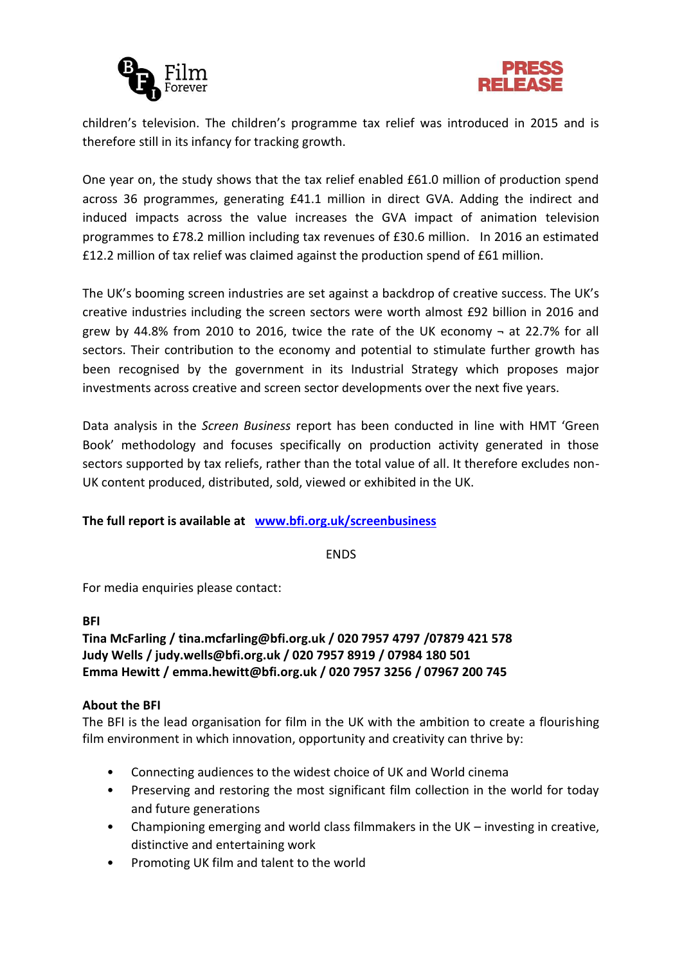



children's television. The children's programme tax relief was introduced in 2015 and is therefore still in its infancy for tracking growth.

One year on, the study shows that the tax relief enabled £61.0 million of production spend across 36 programmes, generating £41.1 million in direct GVA. Adding the indirect and induced impacts across the value increases the GVA impact of animation television programmes to £78.2 million including tax revenues of £30.6 million. In 2016 an estimated £12.2 million of tax relief was claimed against the production spend of £61 million.

The UK's booming screen industries are set against a backdrop of creative success. The UK's creative industries including the screen sectors were worth almost £92 billion in 2016 and grew by 44.8% from 2010 to 2016, twice the rate of the UK economy  $\neg$  at 22.7% for all sectors. Their contribution to the economy and potential to stimulate further growth has been recognised by the government in its Industrial Strategy which proposes major investments across creative and screen sector developments over the next five years.

Data analysis in the *Screen Business* report has been conducted in line with HMT 'Green Book' methodology and focuses specifically on production activity generated in those sectors supported by tax reliefs, rather than the total value of all. It therefore excludes non-UK content produced, distributed, sold, viewed or exhibited in the UK.

# **The full report is available at [www.bfi.org.uk/screenbusiness](http://www.bfi.org.uk/screenbusiness)**

ENDS

For media enquiries please contact:

### **BFI**

**Tina McFarling / tina.mcfarling@bfi.org.uk / 020 7957 4797 /07879 421 578 Judy Wells / judy.wells@bfi.org.uk / 020 7957 8919 / 07984 180 501 Emma Hewitt / emma.hewitt@bfi.org.uk / 020 7957 3256 / 07967 200 745**

### **About the BFI**

The BFI is the lead organisation for film in the UK with the ambition to create a flourishing film environment in which innovation, opportunity and creativity can thrive by:

- Connecting audiences to the widest choice of UK and World cinema
- Preserving and restoring the most significant film collection in the world for today and future generations
- Championing emerging and world class filmmakers in the UK  $-$  investing in creative, distinctive and entertaining work
- Promoting UK film and talent to the world